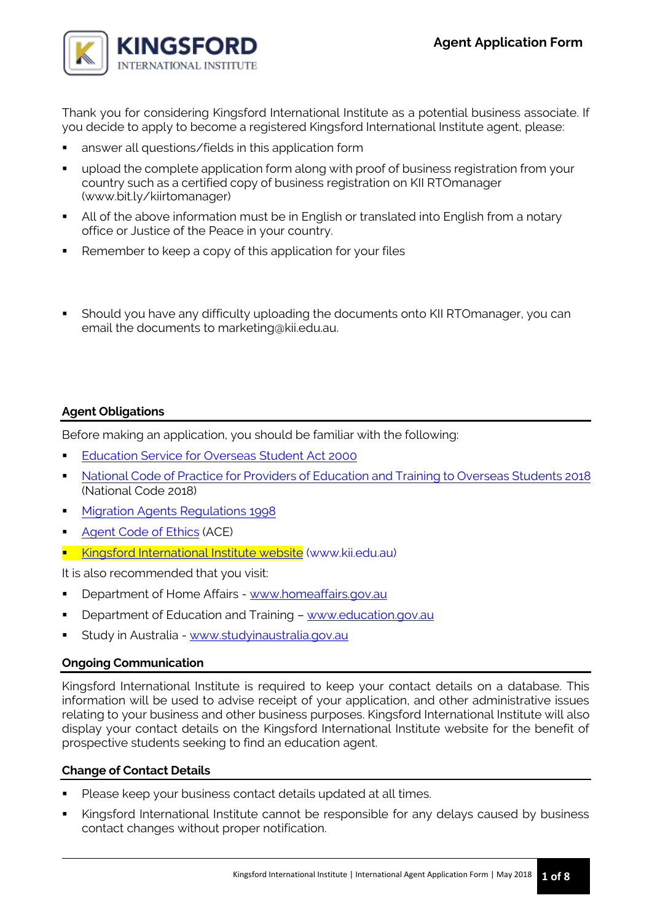

Thank you for considering Kingsford International Institute as a potential business associate. If you decide to apply to become a registered Kingsford International Institute agent, please:

- answer all questions/fields in this application form
- upload the complete application form along with proof of business registration from your country such as a certified copy of business registration on KII RTOmanager (www.bit.ly/kiirtomanager)
- All of the above information must be in English or translated into English from a notary office or Justice of the Peace in your country.
- Remember to keep a copy of this application for your files
- Should you have any difficulty uploading the documents onto KII RTOmanager, you can email the documents to marketing@kii.edu.au.

# **Agent Obligations**

Before making an application, you should be familiar with the following:

- [Education Service for Overseas Student Act 2000](https://www.legislation.gov.au/Details/C2017C00292)
- [National Code of Practice for Providers of Education and Training to Overseas Students 2018](https://www.legislation.gov.au/Details/F2017L01182) (National Code 2018)
- **[Migration Agents Regulations 1998](https://www.legislation.gov.au/Details/F2018C00013)**
- [Agent Code of Ethics](https://internationaleducation.gov.au/News/Latest-News/Documents/Australian%20International%20Education%20and%20Training%20-%20Agent%20Code%20of%20Ethics.pdf) (ACE)
- **[Kingsford International Institute website](http://www.kii.edu.au/)** (www.kii.edu.au)

It is also recommended that you visit:

- Department of Home Affairs [www.homeaffairs.gov.au](http://www.homeaffairs.gov.au/)
- Department of Education and Training [www.education.gov.au](http://www.education.gov.au/)
- Study in Australia [www.studyinaustralia.gov.au](http://www.studyinaustralia.gov.au/)

## **Ongoing Communication**

Kingsford International Institute is required to keep your contact details on a database. This information will be used to advise receipt of your application, and other administrative issues relating to your business and other business purposes. Kingsford International Institute will also display your contact details on the Kingsford International Institute website for the benefit of prospective students seeking to find an education agent.

## **Change of Contact Details**

- Please keep your business contact details updated at all times.
- Kingsford International Institute cannot be responsible for any delays caused by business contact changes without proper notification.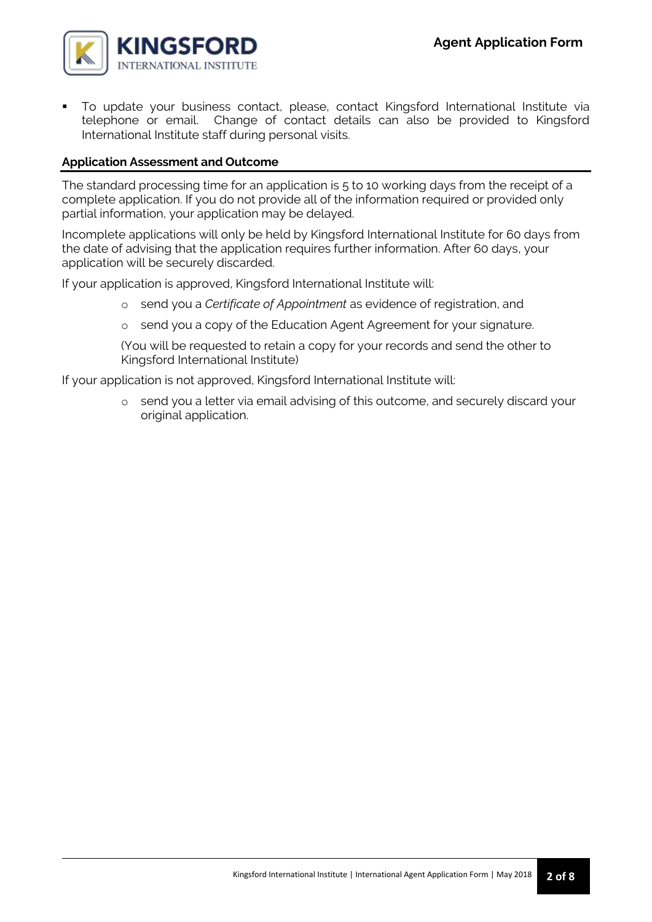

 To update your business contact, please, contact Kingsford International Institute via telephone or email. Change of contact details can also be provided to Kingsford International Institute staff during personal visits.

# **Application Assessment and Outcome**

The standard processing time for an application is 5 to 10 working days from the receipt of a complete application. If you do not provide all of the information required or provided only partial information, your application may be delayed.

Incomplete applications will only be held by Kingsford International Institute for 60 days from the date of advising that the application requires further information. After 60 days, your application will be securely discarded.

If your application is approved, Kingsford International Institute will:

- o send you a *Certificate of Appointment* as evidence of registration, and
- o send you a copy of the Education Agent Agreement for your signature.

(You will be requested to retain a copy for your records and send the other to Kingsford International Institute)

If your application is not approved, Kingsford International Institute will:

o send you a letter via email advising of this outcome, and securely discard your original application.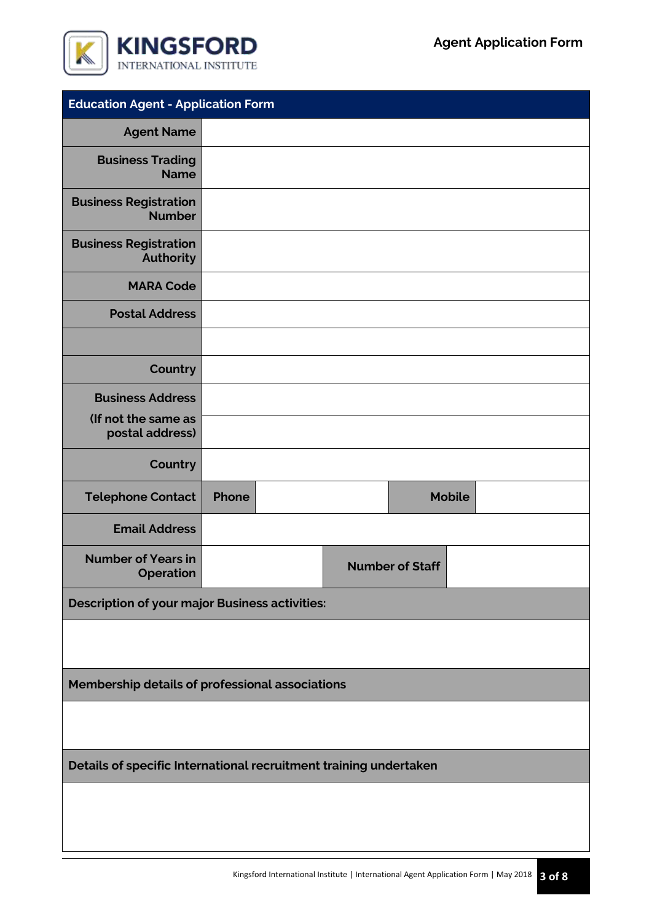

| <b>Education Agent - Application Form</b>                         |       |  |  |                        |               |  |
|-------------------------------------------------------------------|-------|--|--|------------------------|---------------|--|
| <b>Agent Name</b>                                                 |       |  |  |                        |               |  |
| <b>Business Trading</b><br><b>Name</b>                            |       |  |  |                        |               |  |
| <b>Business Registration</b><br><b>Number</b>                     |       |  |  |                        |               |  |
| <b>Business Registration</b><br><b>Authority</b>                  |       |  |  |                        |               |  |
| <b>MARA Code</b>                                                  |       |  |  |                        |               |  |
| <b>Postal Address</b>                                             |       |  |  |                        |               |  |
|                                                                   |       |  |  |                        |               |  |
| Country                                                           |       |  |  |                        |               |  |
| <b>Business Address</b>                                           |       |  |  |                        |               |  |
| (If not the same as<br>postal address)                            |       |  |  |                        |               |  |
| Country                                                           |       |  |  |                        |               |  |
| <b>Telephone Contact</b>                                          | Phone |  |  |                        | <b>Mobile</b> |  |
| <b>Email Address</b>                                              |       |  |  |                        |               |  |
| <b>Number of Years in</b><br><b>Operation</b>                     |       |  |  | <b>Number of Staff</b> |               |  |
| <b>Description of your major Business activities:</b>             |       |  |  |                        |               |  |
|                                                                   |       |  |  |                        |               |  |
| Membership details of professional associations                   |       |  |  |                        |               |  |
|                                                                   |       |  |  |                        |               |  |
| Details of specific International recruitment training undertaken |       |  |  |                        |               |  |
|                                                                   |       |  |  |                        |               |  |
|                                                                   |       |  |  |                        |               |  |
|                                                                   |       |  |  |                        |               |  |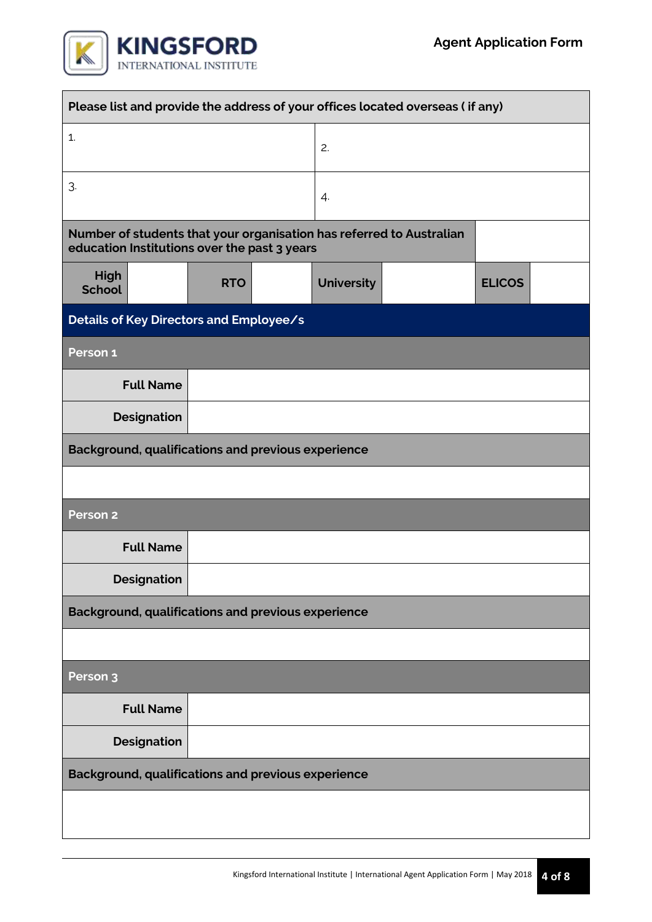

 $\overline{\phantom{a}}$ 

| Please list and provide the address of your offices located overseas (if any)                                        |                    |                                                    |    |                   |  |               |  |
|----------------------------------------------------------------------------------------------------------------------|--------------------|----------------------------------------------------|----|-------------------|--|---------------|--|
| 1.                                                                                                                   |                    |                                                    | 2. |                   |  |               |  |
| 3.                                                                                                                   |                    |                                                    |    | 4.                |  |               |  |
| Number of students that your organisation has referred to Australian<br>education Institutions over the past 3 years |                    |                                                    |    |                   |  |               |  |
| High<br><b>School</b>                                                                                                |                    | <b>RTO</b>                                         |    | <b>University</b> |  | <b>ELICOS</b> |  |
| Details of Key Directors and Employee/s                                                                              |                    |                                                    |    |                   |  |               |  |
| Person 1                                                                                                             |                    |                                                    |    |                   |  |               |  |
|                                                                                                                      | <b>Full Name</b>   |                                                    |    |                   |  |               |  |
|                                                                                                                      | <b>Designation</b> |                                                    |    |                   |  |               |  |
|                                                                                                                      |                    | Background, qualifications and previous experience |    |                   |  |               |  |
|                                                                                                                      |                    |                                                    |    |                   |  |               |  |
| Person <sub>2</sub>                                                                                                  |                    |                                                    |    |                   |  |               |  |
|                                                                                                                      | <b>Full Name</b>   |                                                    |    |                   |  |               |  |
|                                                                                                                      | <b>Designation</b> |                                                    |    |                   |  |               |  |
| Background, qualifications and previous experience                                                                   |                    |                                                    |    |                   |  |               |  |
|                                                                                                                      |                    |                                                    |    |                   |  |               |  |
| Person <sub>3</sub>                                                                                                  |                    |                                                    |    |                   |  |               |  |
|                                                                                                                      | <b>Full Name</b>   |                                                    |    |                   |  |               |  |
|                                                                                                                      | <b>Designation</b> |                                                    |    |                   |  |               |  |
| Background, qualifications and previous experience                                                                   |                    |                                                    |    |                   |  |               |  |
|                                                                                                                      |                    |                                                    |    |                   |  |               |  |
|                                                                                                                      |                    |                                                    |    |                   |  |               |  |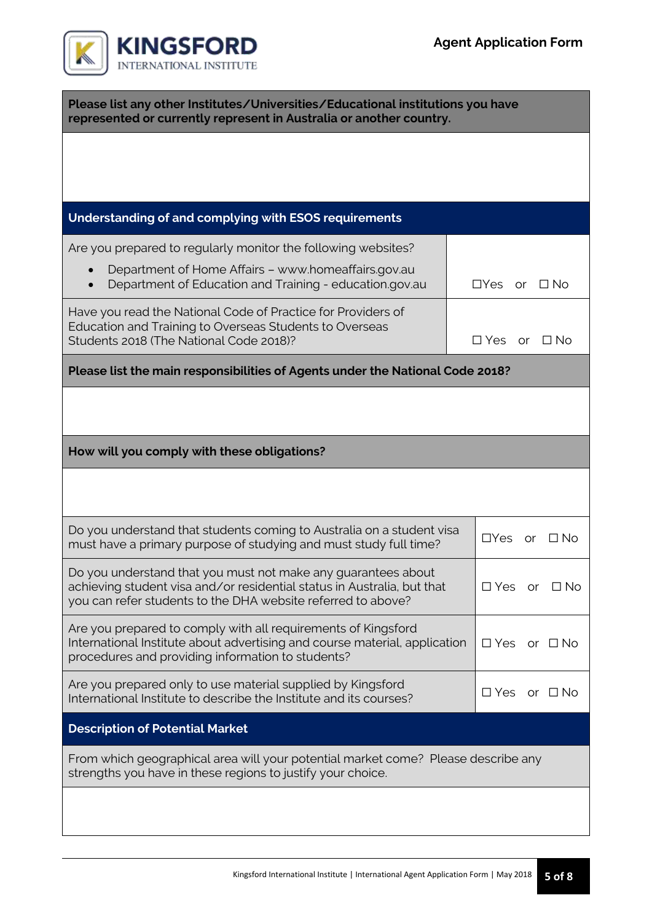| Please list any other Institutes/Universities/Educational institutions you have<br>represented or currently represent in Australia or another country.                                                   |  |                         |                            |  |
|----------------------------------------------------------------------------------------------------------------------------------------------------------------------------------------------------------|--|-------------------------|----------------------------|--|
|                                                                                                                                                                                                          |  |                         |                            |  |
|                                                                                                                                                                                                          |  |                         |                            |  |
| Understanding of and complying with ESOS requirements                                                                                                                                                    |  |                         |                            |  |
| Are you prepared to regularly monitor the following websites?                                                                                                                                            |  |                         |                            |  |
| Department of Home Affairs - www.homeaffairs.gov.au<br>Department of Education and Training - education.gov.au                                                                                           |  | $\Box Y$ es<br>or _     | $\Box$ No                  |  |
| Have you read the National Code of Practice for Providers of<br>Education and Training to Overseas Students to Overseas<br>Students 2018 (The National Code 2018)?                                       |  | $\Box$ Yes or $\Box$ No |                            |  |
| Please list the main responsibilities of Agents under the National Code 2018?                                                                                                                            |  |                         |                            |  |
|                                                                                                                                                                                                          |  |                         |                            |  |
|                                                                                                                                                                                                          |  |                         |                            |  |
| How will you comply with these obligations?                                                                                                                                                              |  |                         |                            |  |
|                                                                                                                                                                                                          |  |                         |                            |  |
| Do you understand that students coming to Australia on a student visa<br>must have a primary purpose of studying and must study full time?                                                               |  | $\Box$ Yes<br><b>or</b> | $\Box$ No                  |  |
| Do you understand that you must not make any guarantees about<br>achieving student visa and/or residential status in Australia, but that<br>you can refer students to the DHA website referred to above? |  |                         | $\Box$ No<br>$\Box$ Yes or |  |
| Are you prepared to comply with all requirements of Kingsford<br>International Institute about advertising and course material, application<br>procedures and providing information to students?         |  |                         | or □No                     |  |
| Are you prepared only to use material supplied by Kingsford<br>International Institute to describe the Institute and its courses?                                                                        |  |                         | or $\square$ No            |  |
| <b>Description of Potential Market</b>                                                                                                                                                                   |  |                         |                            |  |
| From which geographical area will your potential market come? Please describe any<br>strengths you have in these regions to justify your choice.                                                         |  |                         |                            |  |
|                                                                                                                                                                                                          |  |                         |                            |  |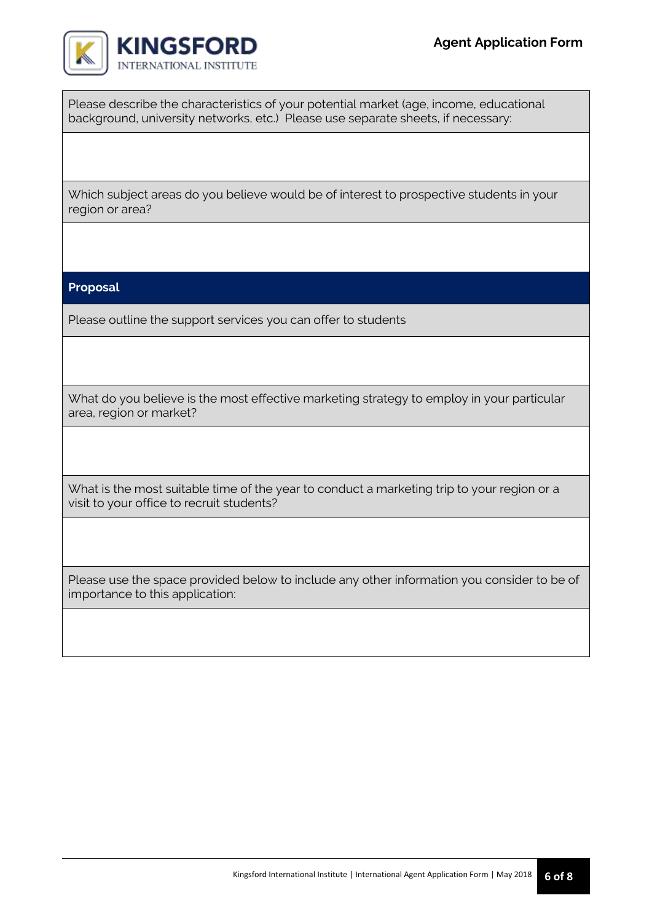

Please describe the characteristics of your potential market (age, income, educational background, university networks, etc.) Please use separate sheets, if necessary:

Which subject areas do you believe would be of interest to prospective students in your region or area?

#### **Proposal**

Please outline the support services you can offer to students

What do you believe is the most effective marketing strategy to employ in your particular area, region or market?

What is the most suitable time of the year to conduct a marketing trip to your region or a visit to your office to recruit students?

Please use the space provided below to include any other information you consider to be of importance to this application: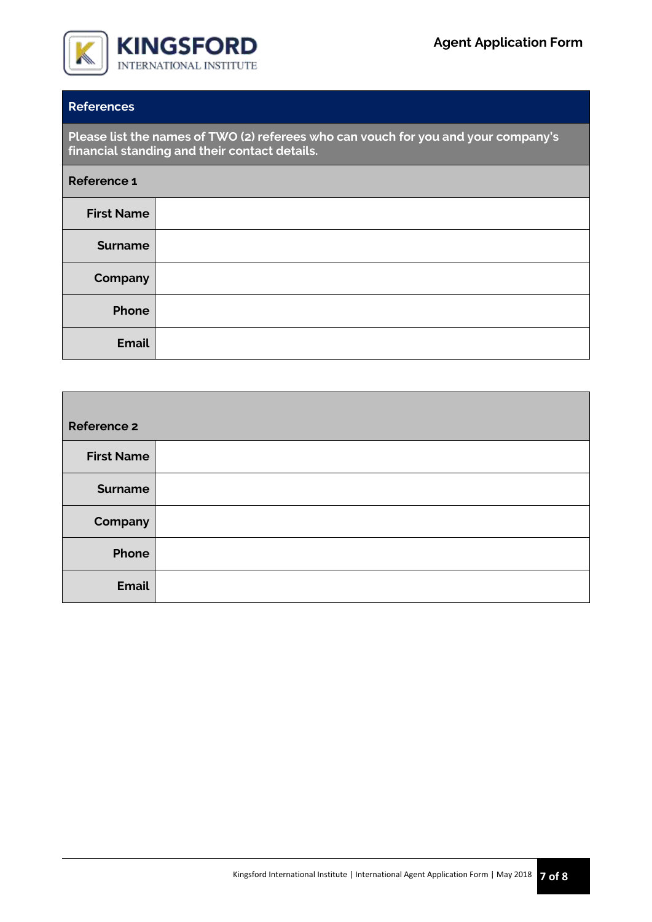

# **References**

**Please list the names of TWO (2) referees who can vouch for you and your company's financial standing and their contact details.**

| Reference 1       |  |
|-------------------|--|
| <b>First Name</b> |  |
| <b>Surname</b>    |  |
| Company           |  |
| Phone             |  |
| <b>Email</b>      |  |

| <b>Reference 2</b> |  |
|--------------------|--|
| <b>First Name</b>  |  |
| <b>Surname</b>     |  |
| Company            |  |
| Phone              |  |
| <b>Email</b>       |  |